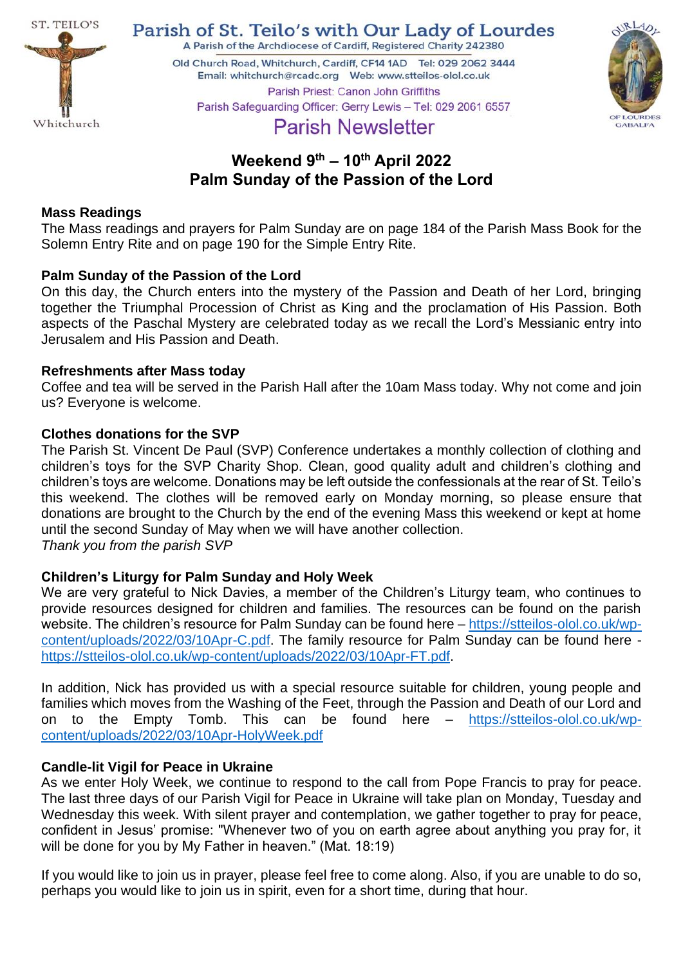

Parish of St. Teilo's with Our Lady of Lourdes A Parish of the Archdiocese of Cardiff, Registered Charity 242380

Old Church Road, Whitchurch, Cardiff, CF14 1AD Tel: 029 2062 3444 Parish Priest: Canon John Griffiths Parish Safeguarding Officer: Gerry Lewis - Tel: 029 2061 6557



# **Parish Newsletter**

## **Weekend 9 th – 10th April 2022 Palm Sunday of the Passion of the Lord**

#### **Mass Readings**

The Mass readings and prayers for Palm Sunday are on page 184 of the Parish Mass Book for the Solemn Entry Rite and on page 190 for the Simple Entry Rite.

#### **Palm Sunday of the Passion of the Lord**

On this day, the Church enters into the mystery of the Passion and Death of her Lord, bringing together the Triumphal Procession of Christ as King and the proclamation of His Passion. Both aspects of the Paschal Mystery are celebrated today as we recall the Lord's Messianic entry into Jerusalem and His Passion and Death.

#### **Refreshments after Mass today**

Coffee and tea will be served in the Parish Hall after the 10am Mass today. Why not come and join us? Everyone is welcome.

#### **Clothes donations for the SVP**

The Parish St. Vincent De Paul (SVP) Conference undertakes a monthly collection of clothing and children's toys for the SVP Charity Shop. Clean, good quality adult and children's clothing and children's toys are welcome. Donations may be left outside the confessionals at the rear of St. Teilo's this weekend. The clothes will be removed early on Monday morning, so please ensure that donations are brought to the Church by the end of the evening Mass this weekend or kept at home until the second Sunday of May when we will have another collection. *Thank you from the parish SVP*

## **Children's Liturgy for Palm Sunday and Holy Week**

We are very grateful to Nick Davies, a member of the Children's Liturgy team, who continues to provide resources designed for children and families. The resources can be found on the parish website. The children's resource for Palm Sunday can be found here – [https://stteilos-olol.co.uk/wp](https://stteilos-olol.co.uk/wp-content/uploads/2022/03/10Apr-C.pdf)[content/uploads/2022/03/10Apr-C.pdf.](https://stteilos-olol.co.uk/wp-content/uploads/2022/03/10Apr-C.pdf) The family resource for Palm Sunday can be found here [https://stteilos-olol.co.uk/wp-content/uploads/2022/03/10Apr-FT.pdf.](https://stteilos-olol.co.uk/wp-content/uploads/2022/03/10Apr-FT.pdf)

In addition, Nick has provided us with a special resource suitable for children, young people and families which moves from the Washing of the Feet, through the Passion and Death of our Lord and on to the Empty Tomb. This can be found here – [https://stteilos-olol.co.uk/wp](https://stteilos-olol.co.uk/wp-content/uploads/2022/03/10Apr-HolyWeek.pdf)[content/uploads/2022/03/10Apr-HolyWeek.pdf](https://stteilos-olol.co.uk/wp-content/uploads/2022/03/10Apr-HolyWeek.pdf)

## **Candle-lit Vigil for Peace in Ukraine**

As we enter Holy Week, we continue to respond to the call from Pope Francis to pray for peace. The last three days of our Parish Vigil for Peace in Ukraine will take plan on Monday, Tuesday and Wednesday this week. With silent prayer and contemplation, we gather together to pray for peace, confident in Jesus' promise: "Whenever two of you on earth agree about anything you pray for, it will be done for you by My Father in heaven." (Mat. 18:19)

If you would like to join us in prayer, please feel free to come along. Also, if you are unable to do so, perhaps you would like to join us in spirit, even for a short time, during that hour.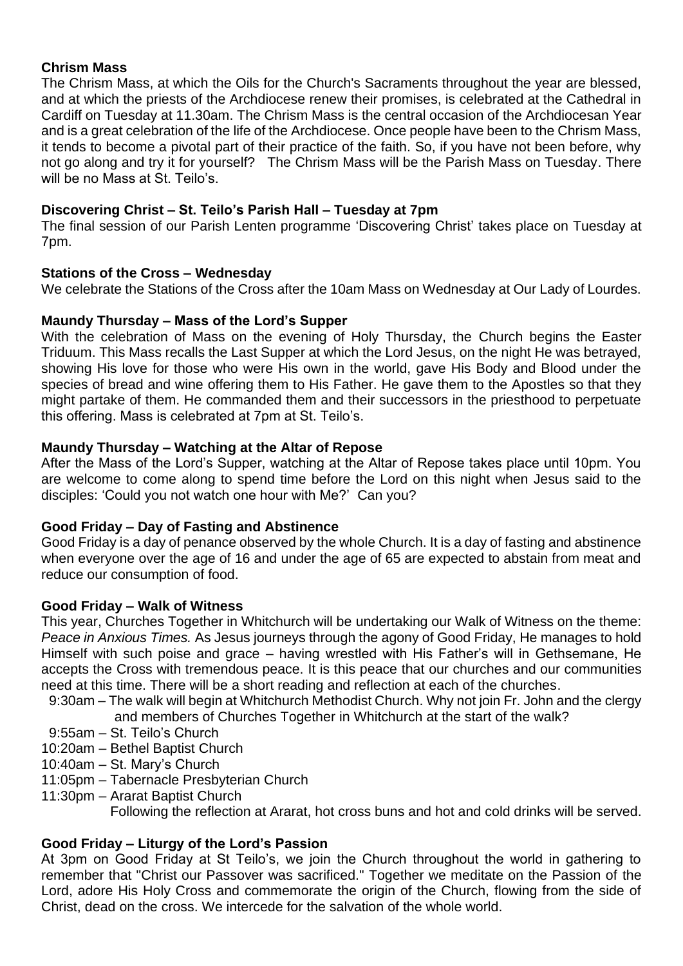## **Chrism Mass**

The Chrism Mass, at which the Oils for the Church's Sacraments throughout the year are blessed, and at which the priests of the Archdiocese renew their promises, is celebrated at the Cathedral in Cardiff on Tuesday at 11.30am. The Chrism Mass is the central occasion of the Archdiocesan Year and is a great celebration of the life of the Archdiocese. Once people have been to the Chrism Mass, it tends to become a pivotal part of their practice of the faith. So, if you have not been before, why not go along and try it for yourself? The Chrism Mass will be the Parish Mass on Tuesday. There will be no Mass at St. Teilo's.

## **Discovering Christ – St. Teilo's Parish Hall – Tuesday at 7pm**

The final session of our Parish Lenten programme 'Discovering Christ' takes place on Tuesday at 7pm.

#### **Stations of the Cross – Wednesday**

We celebrate the Stations of the Cross after the 10am Mass on Wednesday at Our Lady of Lourdes.

#### **Maundy Thursday – Mass of the Lord's Supper**

With the celebration of Mass on the evening of Holy Thursday, the Church begins the Easter Triduum. This Mass recalls the Last Supper at which the Lord Jesus, on the night He was betrayed, showing His love for those who were His own in the world, gave His Body and Blood under the species of bread and wine offering them to His Father. He gave them to the Apostles so that they might partake of them. He commanded them and their successors in the priesthood to perpetuate this offering. Mass is celebrated at 7pm at St. Teilo's.

#### **Maundy Thursday – Watching at the Altar of Repose**

After the Mass of the Lord's Supper, watching at the Altar of Repose takes place until 10pm. You are welcome to come along to spend time before the Lord on this night when Jesus said to the disciples: 'Could you not watch one hour with Me?' Can you?

#### **Good Friday – Day of Fasting and Abstinence**

Good Friday is a day of penance observed by the whole Church. It is a day of fasting and abstinence when everyone over the age of 16 and under the age of 65 are expected to abstain from meat and reduce our consumption of food.

#### **Good Friday – Walk of Witness**

This year, Churches Together in Whitchurch will be undertaking our Walk of Witness on the theme: *Peace in Anxious Times.* As Jesus journeys through the agony of Good Friday, He manages to hold Himself with such poise and grace – having wrestled with His Father's will in Gethsemane, He accepts the Cross with tremendous peace. It is this peace that our churches and our communities need at this time. There will be a short reading and reflection at each of the churches.

- 9:30am The walk will begin at Whitchurch Methodist Church. Why not join Fr. John and the clergy
	- and members of Churches Together in Whitchurch at the start of the walk?
- 9:55am St. Teilo's Church
- 10:20am Bethel Baptist Church
- 10:40am St. Mary's Church
- 11:05pm Tabernacle Presbyterian Church
- 11:30pm Ararat Baptist Church

Following the reflection at Ararat, hot cross buns and hot and cold drinks will be served.

## **Good Friday – Liturgy of the Lord's Passion**

At 3pm on Good Friday at St Teilo's, we join the Church throughout the world in gathering to remember that "Christ our Passover was sacrificed." Together we meditate on the Passion of the Lord, adore His Holy Cross and commemorate the origin of the Church, flowing from the side of Christ, dead on the cross. We intercede for the salvation of the whole world.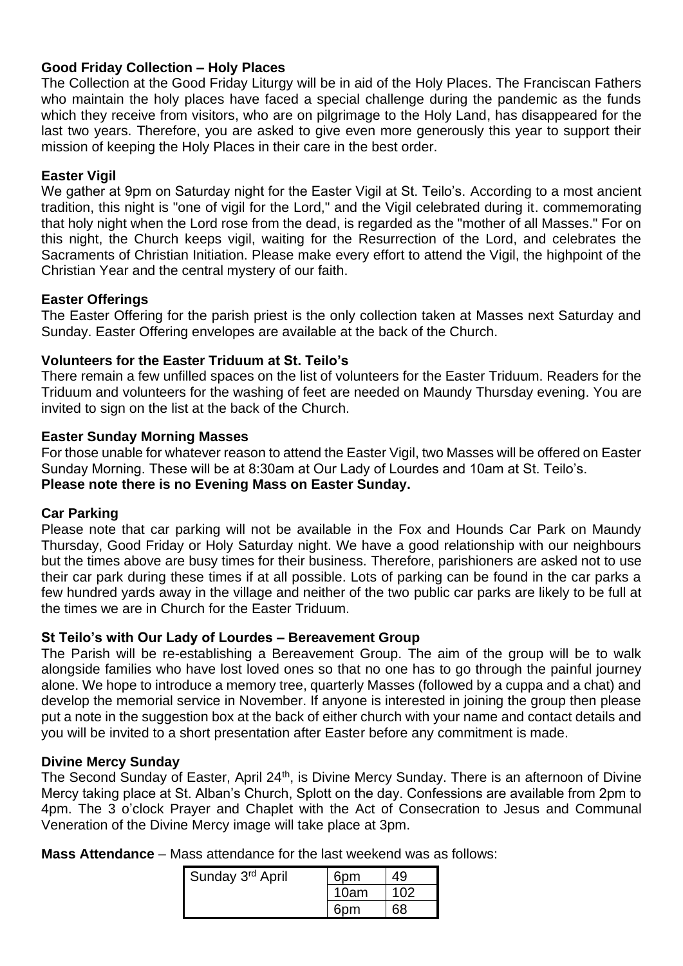#### **Good Friday Collection – Holy Places**

The Collection at the Good Friday Liturgy will be in aid of the Holy Places. The Franciscan Fathers who maintain the holy places have faced a special challenge during the pandemic as the funds which they receive from visitors, who are on pilgrimage to the Holy Land, has disappeared for the last two years. Therefore, you are asked to give even more generously this year to support their mission of keeping the Holy Places in their care in the best order.

#### **Easter Vigil**

We gather at 9pm on Saturday night for the Easter Vigil at St. Teilo's. According to a most ancient tradition, this night is "one of vigil for the Lord," and the Vigil celebrated during it. commemorating that holy night when the Lord rose from the dead, is regarded as the "mother of all Masses." For on this night, the Church keeps vigil, waiting for the Resurrection of the Lord, and celebrates the Sacraments of Christian Initiation. Please make every effort to attend the Vigil, the highpoint of the Christian Year and the central mystery of our faith.

#### **Easter Offerings**

The Easter Offering for the parish priest is the only collection taken at Masses next Saturday and Sunday. Easter Offering envelopes are available at the back of the Church.

#### **Volunteers for the Easter Triduum at St. Teilo's**

There remain a few unfilled spaces on the list of volunteers for the Easter Triduum. Readers for the Triduum and volunteers for the washing of feet are needed on Maundy Thursday evening. You are invited to sign on the list at the back of the Church.

#### **Easter Sunday Morning Masses**

For those unable for whatever reason to attend the Easter Vigil, two Masses will be offered on Easter Sunday Morning. These will be at 8:30am at Our Lady of Lourdes and 10am at St. Teilo's. **Please note there is no Evening Mass on Easter Sunday.**

#### **Car Parking**

Please note that car parking will not be available in the Fox and Hounds Car Park on Maundy Thursday, Good Friday or Holy Saturday night. We have a good relationship with our neighbours but the times above are busy times for their business. Therefore, parishioners are asked not to use their car park during these times if at all possible. Lots of parking can be found in the car parks a few hundred yards away in the village and neither of the two public car parks are likely to be full at the times we are in Church for the Easter Triduum.

#### **St Teilo's with Our Lady of Lourdes – Bereavement Group**

The Parish will be re-establishing a Bereavement Group. The aim of the group will be to walk alongside families who have lost loved ones so that no one has to go through the painful journey alone. We hope to introduce a memory tree, quarterly Masses (followed by a cuppa and a chat) and develop the memorial service in November. If anyone is interested in joining the group then please put a note in the suggestion box at the back of either church with your name and contact details and you will be invited to a short presentation after Easter before any commitment is made.

#### **Divine Mercy Sunday**

The Second Sunday of Easter, April 24<sup>th</sup>, is Divine Mercy Sunday. There is an afternoon of Divine Mercy taking place at St. Alban's Church, Splott on the day. Confessions are available from 2pm to 4pm. The 3 o'clock Prayer and Chaplet with the Act of Consecration to Jesus and Communal Veneration of the Divine Mercy image will take place at 3pm.

**Mass Attendance** – Mass attendance for the last weekend was as follows:

| Sunday 3rd April | 6pm  | 49  |
|------------------|------|-----|
|                  | 10am | 102 |
|                  | 6nm  | 68  |